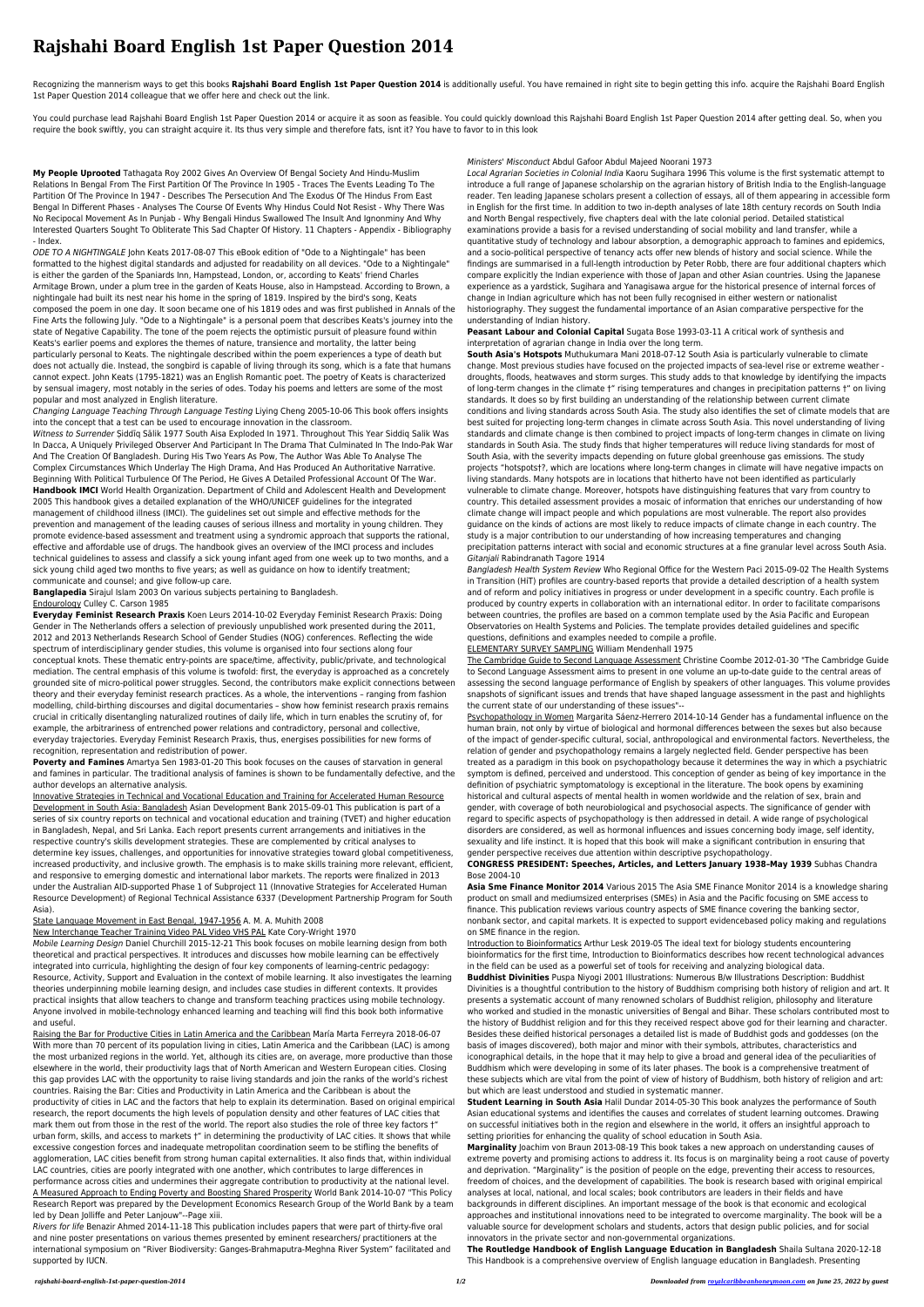# **Rajshahi Board English 1st Paper Question 2014**

Recognizing the mannerism ways to get this books **Rajshahi Board English 1st Paper Question 2014** is additionally useful. You have remained in right site to begin getting this info. acquire the Rajshahi Board English 1st Paper Question 2014 colleague that we offer here and check out the link.

You could purchase lead Rajshahi Board English 1st Paper Question 2014 or acquire it as soon as feasible. You could quickly download this Rajshahi Board English 1st Paper Question 2014 after getting deal. So, when you require the book swiftly, you can straight acquire it. Its thus very simple and therefore fats, isnt it? You have to favor to in this look

**My People Uprooted** Tathagata Roy 2002 Gives An Overview Of Bengal Society And Hindu-Muslim Relations In Bengal From The First Partition Of The Province In 1905 - Traces The Events Leading To The Partition Of The Province In 1947 - Describes The Persecution And The Exodus Of The Hindus From East Bengal In Different Phases - Analyses The Course Of Events Why Hindus Could Not Resist - Why There Was No Recipocal Movement As In Punjab - Why Bengali Hindus Swallowed The Insult And Ignonminy And Why Interested Quarters Sought To Obliterate This Sad Chapter Of History. 11 Chapters - Appendix - Bibliography - Index.

ODE TO A NIGHTINGALE John Keats 2017-08-07 This eBook edition of "Ode to a Nightingale" has been formatted to the highest digital standards and adjusted for readability on all devices. "Ode to a Nightingale" is either the garden of the Spaniards Inn, Hampstead, London, or, according to Keats' friend Charles Armitage Brown, under a plum tree in the garden of Keats House, also in Hampstead. According to Brown, a nightingale had built its nest near his home in the spring of 1819. Inspired by the bird's song, Keats composed the poem in one day. It soon became one of his 1819 odes and was first published in Annals of the Fine Arts the following July. "Ode to a Nightingale" is a personal poem that describes Keats's journey into the state of Negative Capability. The tone of the poem rejects the optimistic pursuit of pleasure found within Keats's earlier poems and explores the themes of nature, transience and mortality, the latter being particularly personal to Keats. The nightingale described within the poem experiences a type of death but does not actually die. Instead, the songbird is capable of living through its song, which is a fate that humans cannot expect. John Keats (1795-1821) was an English Romantic poet. The poetry of Keats is characterized by sensual imagery, most notably in the series of odes. Today his poems and letters are some of the most popular and most analyzed in English literature.

Witness to Surrender Siddīq Sālik 1977 South Aisa Exploded In 1971. Throughout This Year Siddiq Salik Was In Dacca, A Uniquely Privileged Observer And Participant In The Drama That Culminated In The Indo-Pak War And The Creation Of Bangladesh. During His Two Years As Pow, The Author Was Able To Analyse The Complex Circumstances Which Underlay The High Drama, And Has Produced An Authoritative Narrative. Beginning With Political Turbulence Of The Period, He Gives A Detailed Professional Account Of The War. **Handbook IMCI** World Health Organization. Department of Child and Adolescent Health and Development 2005 This handbook gives a detailed explanation of the WHO/UNICEF guidelines for the integrated management of childhood illness (IMCI). The guidelines set out simple and effective methods for the prevention and management of the leading causes of serious illness and mortality in young children. They promote evidence-based assessment and treatment using a syndromic approach that supports the rational, effective and affordable use of drugs. The handbook gives an overview of the IMCI process and includes technical guidelines to assess and classify a sick young infant aged from one week up to two months, and a sick young child aged two months to five years; as well as guidance on how to identify treatment; communicate and counsel; and give follow-up care.

Changing Language Teaching Through Language Testing Liying Cheng 2005-10-06 This book offers insights into the concept that a test can be used to encourage innovation in the classroom.

**Banglapedia** Sirajul Islam 2003 On various subjects pertaining to Bangladesh. Endourology Culley C. Carson 1985

**Everyday Feminist Research Praxis** Koen Leurs 2014-10-02 Everyday Feminist Research Praxis: Doing Gender in The Netherlands offers a selection of previously unpublished work presented during the 2011, 2012 and 2013 Netherlands Research School of Gender Studies (NOG) conferences. Reflecting the wide spectrum of interdisciplinary gender studies, this volume is organised into four sections along four conceptual knots. These thematic entry-points are space/time, affectivity, public/private, and technological mediation. The central emphasis of this volume is twofold: first, the everyday is approached as a concretely grounded site of micro-political power struggles. Second, the contributors make explicit connections between theory and their everyday feminist research practices. As a whole, the interventions – ranging from fashion modelling, child-birthing discourses and digital documentaries – show how feminist research praxis remains crucial in critically disentangling naturalized routines of daily life, which in turn enables the scrutiny of, for example, the arbitrariness of entrenched power relations and contradictory, personal and collective, everyday trajectories. Everyday Feminist Research Praxis, thus, energises possibilities for new forms of recognition, representation and redistribution of power.

**Poverty and Famines** Amartya Sen 1983-01-20 This book focuses on the causes of starvation in general and famines in particular. The traditional analysis of famines is shown to be fundamentally defective, and the author develops an alternative analysis.

Innovative Strategies in Technical and Vocational Education and Training for Accelerated Human Resource Development in South Asia: Bangladesh Asian Development Bank 2015-09-01 This publication is part of a series of six country reports on technical and vocational education and training (TVET) and higher education in Bangladesh, Nepal, and Sri Lanka. Each report presents current arrangements and initiatives in the respective country's skills development strategies. These are complemented by critical analyses to determine key issues, challenges, and opportunities for innovative strategies toward global competitiveness, increased productivity, and inclusive growth. The emphasis is to make skills training more relevant, efficient, and responsive to emerging domestic and international labor markets. The reports were finalized in 2013 under the Australian AID-supported Phase 1 of Subproject 11 (Innovative Strategies for Accelerated Human Resource Development) of Regional Technical Assistance 6337 (Development Partnership Program for South Asia).

### State Language Movement in East Bengal, 1947-1956 A. M. A. Muhith 2008

New Interchange Teacher Training Video PAL Video VHS PAL Kate Cory-Wright 1970

Mobile Learning Design Daniel Churchill 2015-12-21 This book focuses on mobile learning design from both theoretical and practical perspectives. It introduces and discusses how mobile learning can be effectively integrated into curricula, highlighting the design of four key components of learning-centric pedagogy: Resource, Activity, Support and Evaluation in the context of mobile learning. It also investigates the learning theories underpinning mobile learning design, and includes case studies in different contexts. It provides practical insights that allow teachers to change and transform teaching practices using mobile technology. Anyone involved in mobile-technology enhanced learning and teaching will find this book both informative and useful.

Raising the Bar for Productive Cities in Latin America and the Caribbean María Marta Ferreyra 2018-06-07 With more than 70 percent of its population living in cities, Latin America and the Caribbean (LAC) is among the most urbanized regions in the world. Yet, although its cities are, on average, more productive than those elsewhere in the world, their productivity lags that of North American and Western European cities. Closing this gap provides LAC with the opportunity to raise living standards and join the ranks of the world's richest countries. Raising the Bar: Cities and Productivity in Latin America and the Caribbean is about the productivity of cities in LAC and the factors that help to explain its determination. Based on original empirical research, the report documents the high levels of population density and other features of LAC cities that mark them out from those in the rest of the world. The report also studies the role of three key factors †" urban form, skills, and access to markets †" in determining the productivity of LAC cities. It shows that while excessive congestion forces and inadequate metropolitan coordination seem to be stifling the benefits of agglomeration, LAC cities benefit from strong human capital externalities. It also finds that, within individual LAC countries, cities are poorly integrated with one another, which contributes to large differences in performance across cities and undermines their aggregate contribution to productivity at the national level. A Measured Approach to Ending Poverty and Boosting Shared Prosperity World Bank 2014-10-07 "This Policy Research Report was prepared by the Development Economics Research Group of the World Bank by a team led by Dean Jolliffe and Peter Lanjouw"--Page xiii.

Rivers for life Benazir Ahmed 2014-11-18 This publication includes papers that were part of thirty-five oral and nine poster presentations on various themes presented by eminent researchers/ practitioners at the international symposium on "River Biodiversity: Ganges-Brahmaputra-Meghna River System" facilitated and supported by IUCN.

### Ministers' Misconduct Abdul Gafoor Abdul Majeed Noorani 1973

Local Agrarian Societies in Colonial India Kaoru Sugihara 1996 This volume is the first systematic attempt to introduce a full range of Japanese scholarship on the agrarian history of British India to the English-language reader. Ten leading Japanese scholars present a collection of essays, all of them appearing in accessible form in English for the first time. In addition to two in-depth analyses of late 18th century records on South India and North Bengal respectively, five chapters deal with the late colonial period. Detailed statistical examinations provide a basis for a revised understanding of social mobility and land transfer, while a quantitative study of technology and labour absorption, a demographic approach to famines and epidemics, and a socio-political perspective of tenancy acts offer new blends of history and social science. While the findings are summarised in a full-length introduction by Peter Robb, there are four additional chapters which compare explicitly the Indian experience with those of Japan and other Asian countries. Using the Japanese experience as a yardstick, Sugihara and Yanagisawa argue for the historical presence of internal forces of change in Indian agriculture which has not been fully recognised in either western or nationalist historiography. They suggest the fundamental importance of an Asian comparative perspective for the understanding of Indian history.

**Peasant Labour and Colonial Capital** Sugata Bose 1993-03-11 A critical work of synthesis and interpretation of agrarian change in India over the long term.

**South Asia's Hotspots** Muthukumara Mani 2018-07-12 South Asia is particularly vulnerable to climate change. Most previous studies have focused on the projected impacts of sea-level rise or extreme weather droughts, floods, heatwaves and storm surges. This study adds to that knowledge by identifying the impacts of long-term changes in the climate †" rising temperatures and changes in precipitation patterns †" on living standards. It does so by first building an understanding of the relationship between current climate conditions and living standards across South Asia. The study also identifies the set of climate models that are best suited for projecting long-term changes in climate across South Asia. This novel understanding of living standards and climate change is then combined to project impacts of long-term changes in climate on living standards in South Asia. The study finds that higher temperatures will reduce living standards for most of South Asia, with the severity impacts depending on future global greenhouse gas emissions. The study projects "hotspots†?, which are locations where long-term changes in climate will have negative impacts on living standards. Many hotspots are in locations that hitherto have not been identified as particularly vulnerable to climate change. Moreover, hotspots have distinguishing features that vary from country to country. This detailed assessment provides a mosaic of information that enriches our understanding of how climate change will impact people and which populations are most vulnerable. The report also provides guidance on the kinds of actions are most likely to reduce impacts of climate change in each country. The study is a major contribution to our understanding of how increasing temperatures and changing precipitation patterns interact with social and economic structures at a fine granular level across South Asia. Gitanjali Rabindranath Tagore 1914

Bangladesh Health System Review Who Regional Office for the Western Paci 2015-09-02 The Health Systems in Transition (HiT) profiles are country-based reports that provide a detailed description of a health system and of reform and policy initiatives in progress or under development in a specific country. Each profile is produced by country experts in collaboration with an international editor. In order to facilitate comparisons between countries, the profiles are based on a common template used by the Asia Pacific and European Observatories on Health Systems and Policies. The template provides detailed guidelines and specific questions, definitions and examples needed to compile a profile.

ELEMENTARY SURVEY SAMPLING William Mendenhall 1975

The Cambridge Guide to Second Language Assessment Christine Coombe 2012-01-30 "The Cambridge Guide to Second Language Assessment aims to present in one volume an up-to-date guide to the central areas of assessing the second language performance of English by speakers of other languages. This volume provides snapshots of significant issues and trends that have shaped language assessment in the past and highlights the current state of our understanding of these issues"--

Psychopathology in Women Margarita Sáenz-Herrero 2014-10-14 Gender has a fundamental influence on the human brain, not only by virtue of biological and hormonal differences between the sexes but also because of the impact of gender-specific cultural, social, anthropological and environmental factors. Nevertheless, the relation of gender and psychopathology remains a largely neglected field. Gender perspective has been treated as a paradigm in this book on psychopathology because it determines the way in which a psychiatric symptom is defined, perceived and understood. This conception of gender as being of key importance in the definition of psychiatric symptomatology is exceptional in the literature. The book opens by examining historical and cultural aspects of mental health in women worldwide and the relation of sex, brain and gender, with coverage of both neurobiological and psychosocial aspects. The significance of gender with regard to specific aspects of psychopathology is then addressed in detail. A wide range of psychological disorders are considered, as well as hormonal influences and issues concerning body image, self identity, sexuality and life instinct. It is hoped that this book will make a significant contribution in ensuring that gender perspective receives due attention within descriptive psychopathology.

## **CONGRESS PRESIDENT: Speeches, Articles, and Letters January 1938–May 1939** Subhas Chandra Bose 2004-10

**Asia Sme Finance Monitor 2014** Various 2015 The Asia SME Finance Monitor 2014 is a knowledge sharing product on small and mediumsized enterprises (SMEs) in Asia and the Pacific focusing on SME access to finance. This publication reviews various country aspects of SME finance covering the banking sector, nonbank sector, and capital markets. It is expected to support evidencebased policy making and regulations on SME finance in the region.

Introduction to Bioinformatics Arthur Lesk 2019-05 The ideal text for biology students encountering bioinformatics for the first time, Introduction to Bioinformatics describes how recent technological advances in the field can be used as a powerful set of tools for receiving and analyzing biological data.

**Buddhist Divinities** Puspa Niyogi 2001 Illustrations: Numerous B/w Illustrations Description: Buddhist Divinities is a thoughtful contribution to the history of Buddhism comprising both history of religion and art. It presents a systematic account of many renowned scholars of Buddhist religion, philosophy and literature who worked and studied in the monastic universities of Bengal and Bihar. These scholars contributed most to the history of Buddhist religion and for this they received respect above god for their learning and character. Besides these deified historical personages a detailed list is made of Buddhist gods and goddesses (on the basis of images discovered), both major and minor with their symbols, attributes, characteristics and iconographical details, in the hope that it may help to give a broad and general idea of the peculiarities of Buddhism which were developing in some of its later phases. The book is a comprehensive treatment of these subjects which are vital from the point of view of history of Buddhism, both history of religion and art: but which are least understood and studied in systematic manner.

**Student Learning in South Asia** Halil Dundar 2014-05-30 This book analyzes the performance of South Asian educational systems and identifies the causes and correlates of student learning outcomes. Drawing on successful initiatives both in the region and elsewhere in the world, it offers an insightful approach to setting priorities for enhancing the quality of school education in South Asia.

**Marginality** Joachim von Braun 2013-08-19 This book takes a new approach on understanding causes of extreme poverty and promising actions to address it. Its focus is on marginality being a root cause of poverty and deprivation. "Marginality" is the position of people on the edge, preventing their access to resources, freedom of choices, and the development of capabilities. The book is research based with original empirical analyses at local, national, and local scales; book contributors are leaders in their fields and have backgrounds in different disciplines. An important message of the book is that economic and ecological approaches and institutional innovations need to be integrated to overcome marginality. The book will be a valuable source for development scholars and students, actors that design public policies, and for social innovators in the private sector and non-governmental organizations.

**The Routledge Handbook of English Language Education in Bangladesh** Shaila Sultana 2020-12-18 This Handbook is a comprehensive overview of English language education in Bangladesh. Presenting